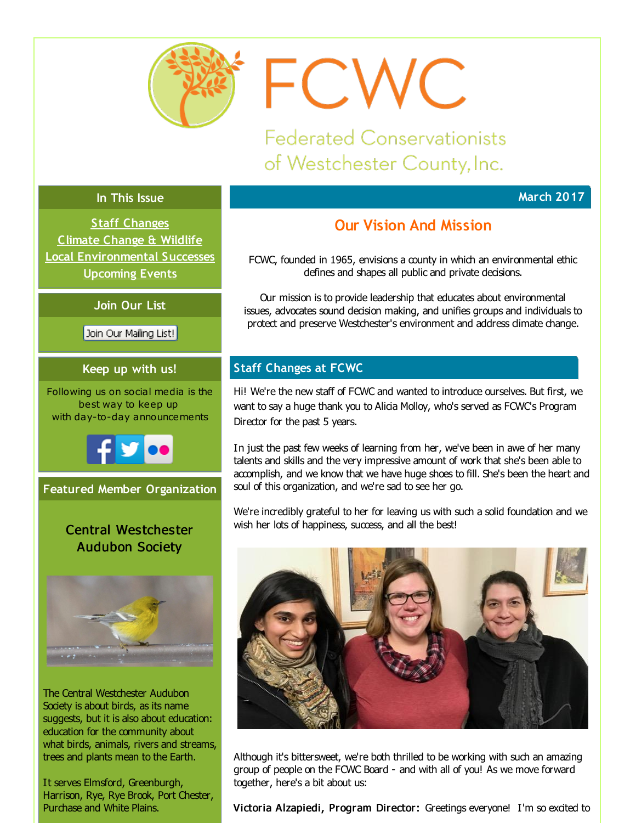<span id="page-0-0"></span>

FCWC

**Federated Conservationists** of Westchester County, Inc.

# **In This Issue**

**Staff [Changes](#page-0-0) [Climate](#page-0-0) Change & Wildlife Local [Environmental](#page-0-0) Successes [Upcoming](#page-0-0) Events**

**Join Our List**

Join Our Mailing List!

# **Keep up with us!**

Following us on social media is the best way to keep up with day-to-day announcements



# **Featured Member Organization**

# Central Westchester Audubon Society



The Central Westchester Audubon Society is about birds, as its name suggests, but it is also about education: education for the community about what birds, animals, rivers and streams, trees and plants mean to the Earth.

It serves Elmsford, Greenburgh, Harrison, Rye, Rye Brook, Port Chester, Purchase and White Plains.

# **Our Vision And Mission**

**March 2017**

FCWC, founded in 1965, envisions a county in which an environmental ethic defines and shapes all public and private decisions.

Our mission is to provide leadership that educates about environmental issues, advocates sound decision making, and unifies groups and individuals to protect and preserve Westchester's environment and address climate change.

# **Staff Changes at FCWC**

Hi! We're the new staff of FCWC and wanted to introduce ourselves. But first, we want to say a huge thank you to Alicia Molloy, who's served as FCWC's Program Director for the past 5 years.

In just the past few weeks of learning from her, we've been in awe of her many talents and skills and the very impressive amount of work that she's been able to accomplish, and we know that we have huge shoes to fill. She's been the heart and soul of this organization, and we're sad to see her go.

We're incredibly grateful to her for leaving us with such a solid foundation and we wish her lots of happiness, success, and all the best!



Although it's bittersweet, we're both thrilled to be working with such an amazing group of people on the FCWC Board - and with all of you! As we move forward together, here's a bit about us:

Victoria Alzapiedi, Program Director: Greetings everyone! I'm so excited to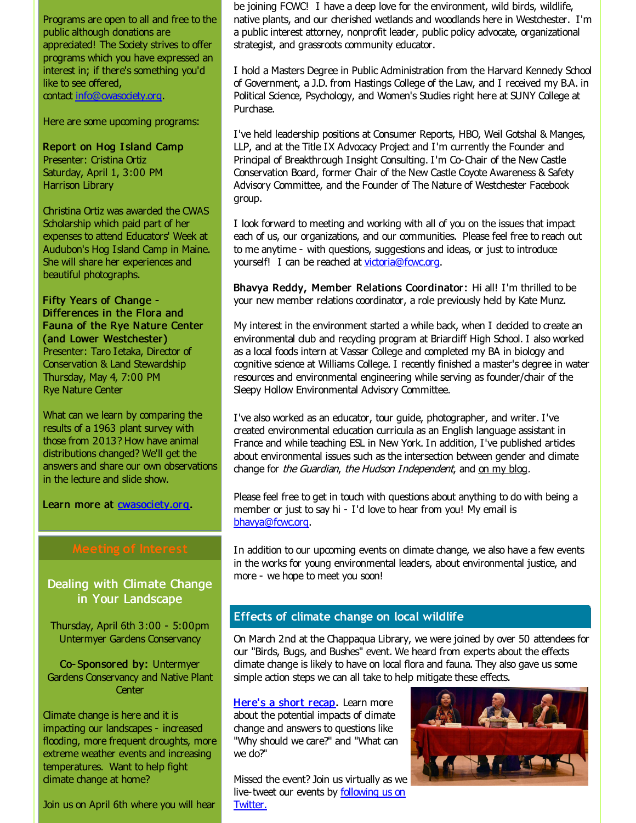Programs are open to all and free to the public although donations are appreciated! The Society strives to offer programs which you have expressed an interest in; if there's something you'd like to see offered, contact [info@cwasociety.org.](mailto:info@cwasociety.org)

Here are some upcoming programs:

Report on Hog I sland Camp Presenter: Cristina Ortiz Saturday, April 1, 3:00 PM Harrison Library

Christina Ortiz was awarded the CWAS Scholarship which paid part of her expenses to attend Educators' Week at Audubon's Hog Island Camp in Maine. She will share her experiences and beautiful photographs.

Fifty Years of Change - Differences in the Flora and Fauna of the Rye Nature Center (and Lower Westchester) Presenter: Taro I etaka, Director of Conservation & Land Stewardship Thursday, May 4, 7:00 PM Rye Nature Center

What can we learn by comparing the results of a 1963 plant survey with those from 2013? How have animal distributions changed? We'll get the answers and share our own observations in the lecture and slide show.

Learn more at **[cwasociety.org](http://r20.rs6.net/tn.jsp?f=001SWmpPCJpNozELwPdd0vUKpzwhNKrNOxq1mG8q3-MzYc4ISJtpz8D3HYPwdowo4ZZXwvzhS0jQM_AAp1Hr6uoHMewqQw3OXjbJCQlcqSBUzraluYVcUiobOek2DtlLB0kiAeOFKaLdSaG_0isZMwLviPP5ZfkLCFsuT_NMzZ4RGE=&c=&ch=)**.

## Dealing with Climate Change in Your Landscape

Thursday, April 6th 3:00 - 5:00pm Untermyer Gardens Conservancy

Co- Sponsored by: Untermyer Gardens Conservancy and Native Plant **Center** 

Climate change is here and it is impacting our landscapes - increased flooding, more frequent droughts, more extreme weather events and increasing temperatures. Want to help fight dimate change at home?

Join us on April 6th where you will hear

be joining FCWC! I have a deep love for the environment, wild birds, wildlife, native plants, and our cherished wetlands and woodlands here in Westchester. I'm a public interest attorney, nonprofit leader, public policy advocate, organizational strategist, and grassroots community educator.

I hold a Masters Degree in Public Administration from the Harvard Kennedy School of Government, a J.D. from Hastings College of the Law, and I received my B.A. in Political Science, Psychology, and Women's Studies right here at SUNY College at Purchase.

I've held leadership positions at Consumer Reports, HBO, Weil Gotshal & Manges, LLP, and at the Title IX Advocacy Project and I'm currently the Founder and Principal of Breakthrough Insight Consulting. I'm Co-Chair of the New Castle Conservation Board, former Chair of the New Castle Coyote Awareness & Safety Advisory Committee, and the Founder of The Nature of Westchester Facebook group.

I look forward to meeting and working with all of you on the issues that impact each of us, our organizations, and our communities. Please feel free to reach out to me anytime - with questions, suggestions and ideas, or just to introduce yourself! I can be reached at [victoria@fcwc.org](mailto:victoria@fcwc.org).

Bhavya Reddy, Member Relations Coordinator: Hi all! I'm thrilled to be your new member relations coordinator, a role previously held by Kate Munz.

My interest in the environment started a while back, when I decided to create an environmental dub and recyding program at Briardiff High School. I also worked as a local foods intern at Vassar College and completed my BA in biology and cognitive science at Williams College. I recently finished a master's degree in water resources and environmental engineering while serving as founder/chair of the Sleepy Hollow Environmental Advisory Committee.

I've also worked as an educator, tour guide, photographer, and writer. I've created environmental education curricula as an English language assistant in France and while teaching ESL in New York. In addition, I've published artides about environmental issues such as the intersection between gender and climate change for the Guardian, the Hudson Independent, and on my [blog](http://r20.rs6.net/tn.jsp?f=001SWmpPCJpNozELwPdd0vUKpzwhNKrNOxq1mG8q3-MzYc4ISJtpz8D3HYPwdowo4ZZkxt4tNUnU_CLxb9vWaKe3oxxJQsk3YNHE_jgIMnjiEJA-ANblf_QOm7DP09WmSiRjsivgOhordOmF132AgyhVrIVCs9ca3aK4gMlWT5Jabg=&c=&ch=).

Please feel free to get in touch with questions about anything to do with being a member or just to say hi - I'd love to hear from you! My email is [bhavya@fcwc.org](mailto:bhavya@fcwc.org).

In addition to our upcoming events on dimate change, we also have a few events in the works for young environmental leaders, about environmental justice, and more - we hope to meet you soon!

### **Effects of climate change on local wildlife**

On March 2nd at the Chappaqua Library, we were joined by over 50 attendees for our "Birds, Bugs, and Bushes" event. We heard from experts about the effects climate change is likely to have on local flora and fauna. They also gave us some simple action steps we can all take to help mitigate these effects.

[Here's](http://r20.rs6.net/tn.jsp?f=001SWmpPCJpNozELwPdd0vUKpzwhNKrNOxq1mG8q3-MzYc4ISJtpz8D3HYPwdowo4ZZbtXcyCRO9yGG3yzuUAVr8qVbxpboP23joZvMXFWCvXLQke4RN8B4cIK6Eri952jpI4oY-tItrrduaSacEJRWrdDFK3g4TcVHq49Qf759UDg71Hupyh5-94nR1TldlYaFheSoqGniV9vqkLdys1g7LUZnZewqvPgF-fD0rITJLvr6mPtjxeTtcDvkNaeU-xzONzG-q-0PLPtZtQlbQqmygndMn42USZJqd_OkM57V-kYORXMU1PRIvg==&c=&ch=) a short recap. Learn more about the potential impacts of dimate change and answers to questions like "Why should we care?" and "What can we do?"

Missed the event? Join us virtually as we [live-tweet](http://r20.rs6.net/tn.jsp?f=001SWmpPCJpNozELwPdd0vUKpzwhNKrNOxq1mG8q3-MzYc4ISJtpz8D3Mw4uC0K5ZyVBX4v3RAq57RCIvrbLWuPWDjucjatV09qjFavI2qCThInq4UBf3PnfHNqd_ltGjobT6X8X6lguspulpegPEkbT_FW65x0Tg32mNwKx56amlY=&c=&ch=) our events by following us on Twitter.

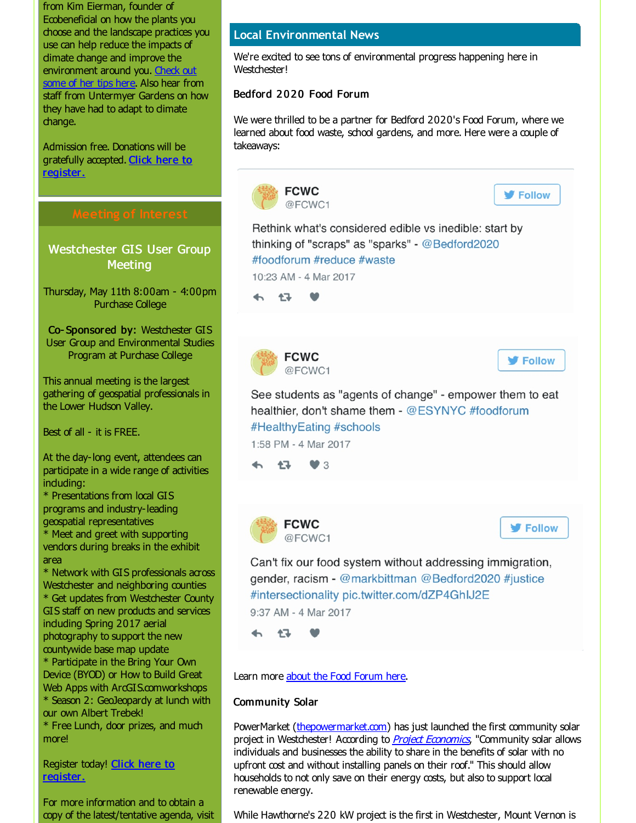from Kim Eierman, founder of Ecobeneficial on how the plants you choose and the landscape practices you use can help reduce the impacts of dimate change and improve the [environment](http://r20.rs6.net/tn.jsp?f=001SWmpPCJpNozELwPdd0vUKpzwhNKrNOxq1mG8q3-MzYc4ISJtpz8D3HYPwdowo4ZZSZTnOZzsK8wIs3cLAaJ9--kAjNHUtdQSwEjjvinLEKAilHnCTmJjQ3XIUoskAeoutbLC5sd4JFv_bY6_rfrrXmIs-tcBloEiY45mKYaJsfw30ZdCZbdIA3tAlZah4Mn1BByUGuDdCN2iq7nQuEb3yvIfSxEXqKnjgJ2uX6VL-UYyXq975jGDGqZBfvUEohX5u-DSVt6KTih2EpjB2eibJSe83IG6HPwuV6QRukLNWUg=&c=&ch=) around you. Check out some of her tips here. Also hear from staff from Untermyer Gardens on how they have had to adapt to dimate change.

Admission free. Donations will be [gratefully](http://r20.rs6.net/tn.jsp?f=001SWmpPCJpNozELwPdd0vUKpzwhNKrNOxq1mG8q3-MzYc4ISJtpz8D3HYPwdowo4ZZNPfZBBTok1b2oXmBqpgevgBKFXppZKF7Hump08kYMsav_8Kkv0CwHv7_HVoY-yM_c-ec4QxHGBI42bXnwU3VxuifST1LpbeKhQYDmGsr-AxiYQgrCX2-4FgzXOgVXR6lMrvVHoMy2oKsxPpn8c-rse44kaPTjP9u254sEacNia-JZxr-AT3ZXE2l7d_O4_o68HJ2Oaivc88=&c=&ch=) accepted. Click here to register.

Westchester GIS User Group **Meeting** 

Thursday, May 11th 8:00am - 4:00pm Purchase College

Co- Sponsored by: Westchester GIS User Group and Environmental Studies Program at Purchase College

This annual meeting is the largest gathering of geospatial professionals in the Lower Hudson Valley.

Best of all - it is FREE.

At the day-long event, attendees can participate in a wide range of activities induding:

\* Presentations from local GIS programs and industry-leading geospatial representatives

\* Meet and greet with supporting vendors during breaks in the exhibit area

\* Network with GIS professionals across Westchester and neighboring counties \* Get updates from Westchester County GIS staff on new products and services induding Spring 2017 aerial photography to support the new countywide base map update \* Participate in the Bring Your Own Device (BYOD) or How to Build Great

Web Apps with ArcGIS.comworkshops \* Season 2: GeoJeopardy at lunch with our own Albert Trebek!

\* Free Lunch, door prizes, and much more!

Register today! Click here to [register.](http://r20.rs6.net/tn.jsp?f=001SWmpPCJpNozELwPdd0vUKpzwhNKrNOxq1mG8q3-MzYc4ISJtpz8D3P_u2K-w1uPLYxLYde1O_oBIsBjtmMeDsImYHTc3_BhHH-n22OBue0RsIMl3MES-Nl4pz-oU4nnVqDOezsBBfTImzb5XDGwLm1n85R6jjUTjoSd-qa2ZpAF5v0evT7vaX73-gCNZNco4N9B2A5fcPEs=&c=&ch=)

For more information and to obtain a copy of the latest/tentative agenda, visit

## **Local Environmental News**

We're excited to see tons of environmental progress happening here in Westchester!

# Bedford 2020 Food Forum

We were thrilled to be a partner for Bedford 2020's Food Forum, where we learned about food waste, school gardens, and more. Here were a couple of takeaways:



project in Westchester! According to **Project [Economics](http://r20.rs6.net/tn.jsp?f=001SWmpPCJpNozELwPdd0vUKpzwhNKrNOxq1mG8q3-MzYc4ISJtpz8D3HYPwdowo4ZZbzYZ2ArFqwzA_fmlKwQnIvxFvtRFvDJLSbXYGtbN0cjfJoy8CyOUy_rz9fkX9fAXLJumP7P5jqP5P21RF6UV74UEs9EBnWjULY4JKoJ-M0UHi1KmhQWpDwYUaNOvO3YICO8CJky_2dQ8LrhxSWSErQ==&c=&ch=)**, "Community solar allows individuals and businesses the ability to share in the benefits of solar with no upfront cost and without installing panels on their roof." This should allow households to not only save on their energy costs, but also to support local renewable energy.

While Hawthorne's 220 kW project is the first in Westchester, Mount Vernon is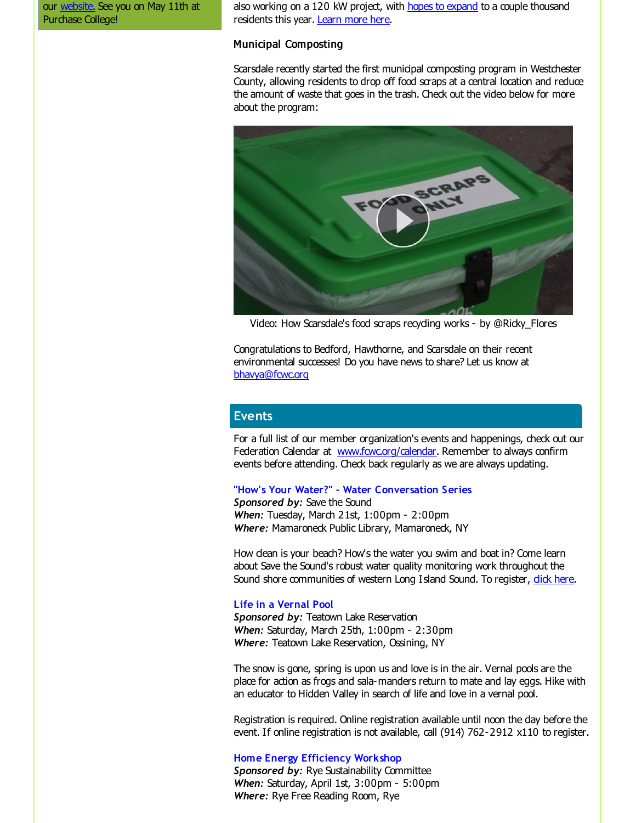our [website.](http://r20.rs6.net/tn.jsp?f=001SWmpPCJpNozELwPdd0vUKpzwhNKrNOxq1mG8q3-MzYc4ISJtpz8D3Mf_8--4s4uR-prIS-Sy_IJVl8gtZa1KuAOySFvQZtNdCJJ9Dko8aQVI9lf8wI-2fSDyIHe8_wWjj-HKqHhuPo7aOop9-MGsfzqBQq_g7I9WC-UJL4wpbFKMXGQvK9q4KQ==&c=&ch=) See you on May 11th at Purchase College!

also working on a 120 kW project, with hopes to [expand](http://r20.rs6.net/tn.jsp?f=001SWmpPCJpNozELwPdd0vUKpzwhNKrNOxq1mG8q3-MzYc4ISJtpz8D3HYPwdowo4ZZoi43-EqpELRf9ZNPMRix5g1kFESHYG7w0VgbBk6jQkBceFVHfRS6epg2bywInO9QtiIJNPau4jtAWIGwivHusiMEQheriirb5acsEnVnugyztUrycvsKYUtenAA9gCxBAfelTe8PwUvxWRwLVo4ZPStaZiWT5Hy3FvqP9r4kDjztb44bOCI1kTrr50OaedJtDwp_t2HjeKzKydqur2DjkItUULOwejt4&c=&ch=) to a couple thousand residents this year. [Learn](http://r20.rs6.net/tn.jsp?f=001SWmpPCJpNozELwPdd0vUKpzwhNKrNOxq1mG8q3-MzYc4ISJtpz8D3HYPwdowo4ZZbzYZ2ArFqwzA_fmlKwQnIvxFvtRFvDJLSbXYGtbN0cjfJoy8CyOUy_rz9fkX9fAXLJumP7P5jqP5P21RF6UV74UEs9EBnWjULY4JKoJ-M0UHi1KmhQWpDwYUaNOvO3YICO8CJky_2dQ8LrhxSWSErQ==&c=&ch=) more here.

#### Municipal Composting

Scarsdale recently started the first municipal composting program in Westchester County, allowing residents to drop off food scraps at a central location and reduce the amount of waste that goes in the trash. Check out the video below for more about the program:



Video: How Scarsdale's food scraps recycling works - by @Ricky\_Flores

Congratulations to Bedford, Hawthorne, and Scarsdale on their recent environmental successes! Do you have news to share? Let us know at [bhavya@fcwc.org](mailto:bhavya@fcwc.org)

### **Events**

For a full list of our member organization's events and happenings, check out our Federation Calendar at **[www.fcwc.org/calendar](http://r20.rs6.net/tn.jsp?f=001SWmpPCJpNozELwPdd0vUKpzwhNKrNOxq1mG8q3-MzYc4ISJtpz8D3NQkDQSZOmebvFRqK2OkQ-b2fBg1aCmh6WPSyKIadpK5HWug-lU15IEcIFA3G1Eg6LgV61UFSkHf6lzUau-ZsE-wKd9yeafBuYm1LHCJ8W831f_7gdEInQXC-pE3HV8rr7f9Gbf41hfL&c=&ch=)**. Remember to always confirm events before attending. Check back regularly as we are always updating.

#### **"How's Your Water?" - Water Conversation Series**

*Sponsored by:* Save the Sound *When:* Tuesday, March 21st, 1:00pm - 2:00pm *Where:* Mamaroneck Public Library, Mamaroneck, NY

How clean is your beach? How's the water you swim and boat in? Come learn about Save the Sound's robust water quality monitoring work throughout the Sound shore communities of western Long Island Sound. To register, dick [here](http://r20.rs6.net/tn.jsp?f=001SWmpPCJpNozELwPdd0vUKpzwhNKrNOxq1mG8q3-MzYc4ISJtpz8D3HYPwdowo4ZZQnH0-Cp6sk_bBEEuIhg0JNCMP5JZzlZzbsKpqicNV5waMfWGzSrrdeudLhSYWTVu9ULkq6ftyQRhoyMH92W20xwWIAqVS9XL5NL0EuBSNJ8Aqn-VC521PS5r-JYKwHPhJFJdXrDwminlLPKmngikPs-K_O7OlX-003cdEaF0reE=&c=&ch=).

#### **Life in a Vernal Pool**

*Sponsored by:* Teatown Lake Reservation *When:* Saturday, March 25th, 1:00pm - 2:30pm *Where:* Teatown Lake Reservation, Ossining, NY

The snow is gone, spring is upon us and love is in the air. Vernal pools are the place for action as frogs and sala-manders return to mate and lay eggs. Hike with an educator to Hidden Valley in search of life and love in a vernal pool.

Registration is required. Online registration available until noon the day before the event. If online registration is not available, call (914) 762-2912 x110 to register.

#### **Home Energy Efficiency Workshop**

*Sponsored by:* Rye Sustainability Committee *When:* Saturday, April 1st, 3:00pm - 5:00pm *Where:* Rye Free Reading Room, Rye